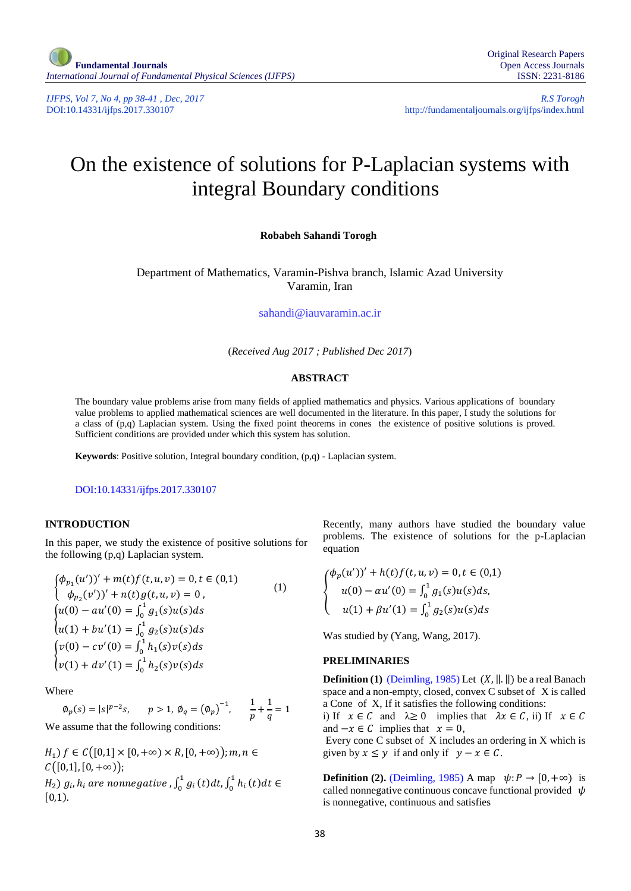*IJFPS, Vol 7, No 4, pp 38-41, Dec, 2017 R.S Torogh R.S Torogh R.S Torogh* **<b>***R.S Torogh R.S Torogh R.S Torogh R.S Torogh R.S Torogh R.S Torogh R.S Torogh R.S Torogh R.S Torogh R* <http://fundamentaljournals.org/ijfps/index.html>

# On the existence of solutions for P-Laplacian systems with integral Boundary conditions

**Robabeh Sahandi Torogh**

Department of Mathematics, Varamin-Pishva branch, Islamic Azad University Varamin, Iran

[sahandi@iauvaramin.ac.ir](mailto:sahandi@iauvaramin.ac.ir)

(*Received Aug 2017 ; Published Dec 2017*)

## **ABSTRACT**

The boundary value problems arise from many fields of applied mathematics and physics. Various applications of boundary value problems to applied mathematical sciences are well documented in the literature. In this paper, I study the solutions for a class of (p,q) Laplacian system. Using the fixed point theorems in cones the existence of positive solutions is proved. Sufficient conditions are provided under which this system has solution.

**Keywords**: Positive solution, Integral boundary condition, (p,q) - Laplacian system.

#### DOI:10.14331/ijfps.2017.330107

# **INTRODUCTION**

In this paper, we study the existence of positive solutions for the following (p,q) Laplacian system.

$$
\begin{cases}\n\phi_{p_1}(u')' + m(t)f(t, u, v) = 0, t \in (0, 1) \\
\phi_{p_2}(v')' + n(t)g(t, u, v) = 0, \\
\mu(0) - au'(0) = \int_0^1 g_1(s)u(s)ds \\
u(1) + bu'(1) = \int_0^1 g_2(s)u(s)ds \\
\gamma(0) - cv'(0) = \int_0^1 h_1(s)v(s)ds \\
v(1) + dv'(1) = \int_0^1 h_2(s)v(s)ds\n\end{cases}
$$
\n(1)

Where

 $\varphi_p(s) = |s|^{p-2} s, \quad p > 1, \, \varphi_q = (\varphi_p)^{-1}, \quad \frac{1}{p}$  $\frac{1}{p} + \frac{1}{q}$  $\frac{1}{q} = 1$ 

We assume that the following conditions:

 $H_1$ )  $f \in C([0,1] \times [0,+\infty) \times R, [0,+\infty))$ ;  $m, n \in$  $C([0,1],[0,+\infty));$  $\left\langle H_{2}\right\rangle g_{i}$ ,  $h_{i}$  are nonnegative ,  $\int_{0}^{1}g_{i}$  $\int_0^1 g_i(t) dt$ ,  $\int_0^1 h_i$  $\int_{0}^{1} h_i(t) dt \in$  $[0,1)$ .

Recently, many authors have studied the boundary value problems. The existence of solutions for the p-Laplacian equation

$$
\begin{cases} \phi_p(u'))' + h(t)f(t, u, v) = 0, t \in (0, 1) \\ u(0) - \alpha u'(0) = \int_0^1 g_1(s)u(s)ds, \\ u(1) + \beta u'(1) = \int_0^1 g_2(s)u(s)ds \end{cases}
$$

Was studied by (Yang, Wang, 2017).

### **PRELIMINARIES**

**Definition (1)** [\(Deimling, 1985\)](#page-3-0) Let  $(X, \|\|, \|\)$  be a real Banach space and a non-empty, closed, convex C subset of X is called a Cone of X, If it satisfies the following conditions:

i) If  $x \in C$  and  $\lambda \ge 0$  implies that  $\lambda x \in C$ , ii) If  $x \in C$ and  $-x \in \mathcal{C}$  implies that  $x = 0$ ,

Every cone C subset of X includes an ordering in X which is given by  $x \leq y$  if and only if  $y - x \in C$ .

**Definition (2). [\(Deimling, 1985\)](#page-3-0) A map**  $\psi: P \to [0, +\infty)$  **is** called nonnegative continuous concave functional provided  $\psi$ is nonnegative, continuous and satisfies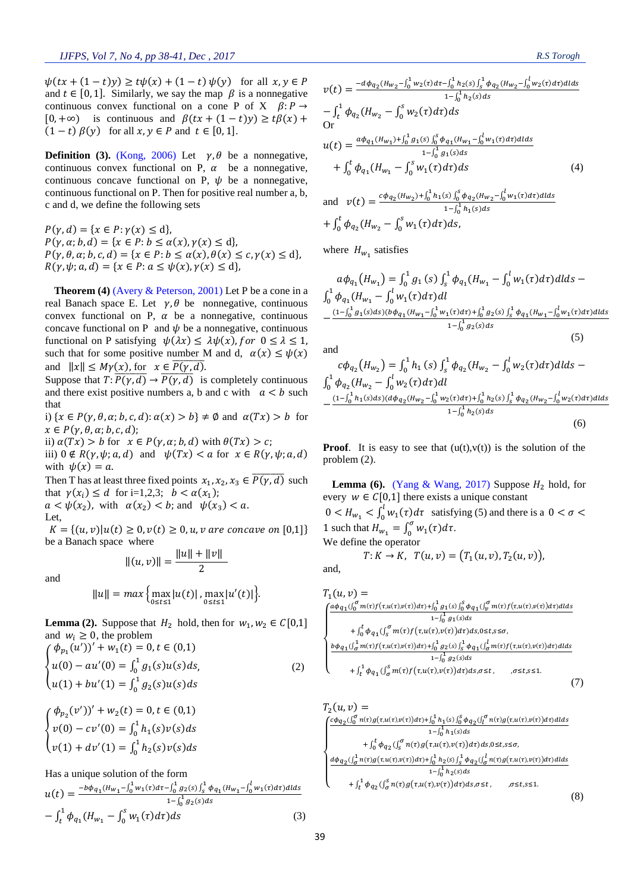$\psi(tx+(1-t)y) \geq t\psi(x)+(1-t)\psi(y)$  for all  $x, y \in P$ and  $t \in [0, 1]$ . Similarly, we say the map  $\beta$  is a nonnegative continuous convex functional on a cone P of X  $\beta: P \to$  $[0,+\infty)$  is continuous and  $\beta (tx+(1-t)y) \geq t\beta(x) +$  $(1-t) \beta(y)$  for all  $x, y \in P$  and  $t \in [0,1]$ .

**Definition (3).** [\(Kong, 2006\)](#page-3-1) Let  $\gamma$ ,  $\theta$  be a nonnegative, continuous convex functional on P,  $\alpha$  be a nonnegative, continuous concave functional on P,  $\psi$  be a nonnegative, continuous functional on P. Then for positive real number a, b, c and d, we define the following sets

 $P(\gamma, d) = \{x \in P : \gamma(x) \leq d\},\$  $P(\gamma, \alpha; b, d) = \{x \in P : b \leq \alpha(x), \gamma(x) \leq d\},\$  $P(\gamma, \theta, \alpha; b, c, d) = \{x \in P : b \leq \alpha(x), \theta(x) \leq c, \gamma(x) \leq d\},\$  $R(\gamma, \psi; a, d) = \{x \in P : a \leq \psi(x), \gamma(x) \leq d\},\$ 

**Theorem (4)** [\(Avery & Peterson, 2001\)](#page-3-2) Let P be a cone in a real Banach space E. Let  $\gamma$ ,  $\theta$  be nonnegative, continuous convex functional on P,  $\alpha$  be a nonnegative, continuous concave functional on P and  $\psi$  be a nonnegative, continuous functional on P satisfying  $\psi(\lambda x) \leq \lambda \psi(x)$ , for  $0 \leq \lambda \leq 1$ , such that for some positive number M and d,  $\alpha(x) \leq \psi(x)$ and  $||x|| \le M\gamma(x)$ , for  $x \in \overline{P(\gamma, d)}$ .

Suppose that  $T: \overline{P(\gamma, d)} \to \overline{P(\gamma, d)}$  is completely continuous and there exist positive numbers a, b and c with  $a < b$  such that

i)  $\{x \in P(\gamma, \theta, \alpha; b, c, d): \alpha(x) > b\} \neq \emptyset$  and  $\alpha(Tx) > b$  for  $x \in P(\gamma, \theta, \alpha; b, c, d);$ 

ii)  $\alpha(Tx) > b$  for  $x \in P(\gamma, \alpha; b, d)$  with  $\theta(Tx) > c$ ;

iii)  $0 \notin R(\gamma, \psi; a, d)$  and  $\psi(Tx) < a$  for  $x \in R(\gamma, \psi; a, d)$ with  $\psi(x) = a$ .

Then T has at least three fixed points  $x_1, x_2, x_3 \in \overline{P(\gamma, d)}$  such that  $\gamma(x_i) \leq d$  for i=1,2,3;  $b < \alpha(x_1)$ ;  $a < \psi(x_2)$ , with  $\alpha(x_2) < b$ ; and  $\psi(x_3) < a$ . Let,

 $K = \{(u, v)|u(t) \ge 0, v(t) \ge 0, u, v$  are concave on [0,1]} be a Banach space where

$$
||(u,v)|| = \frac{||u|| + ||v||}{2}
$$

and

$$
||u|| = max \Big\{ \max_{0 \le t \le 1} |u(t)| \, , \, \max_{0 \le t \le 1} |u'(t)| \Big\}.
$$

**Lemma (2).** Suppose that  $H_2$  hold, then for  $w_1, w_2 \in C[0,1]$ and  $w_i \geq 0$ , the problem

$$
\begin{cases}\n\phi_{p_1}(u')' + w_1(t) = 0, t \in (0,1) \\
u(0) - au'(0) = \int_0^1 g_1(s)u(s)ds, \\
u(1) + bu'(1) = \int_0^1 g_2(s)u(s)ds\n\end{cases}
$$
\n(2)

$$
\begin{cases}\n\phi_{p_2}(v')' + w_2(t) = 0, t \in (0,1) \\
v(0) - cv'(0) = \int_0^1 h_1(s)v(s)ds \\
v(1) + dv'(1) = \int_0^1 h_2(s)v(s)ds\n\end{cases}
$$

Has a unique solution of the form

$$
u(t) = \frac{-b\phi_{q_1}(H_{w_1} - \int_0^1 w_1(\tau)d\tau - \int_0^1 g_2(s)\int_s^1 \phi_{q_1}(H_{w_1} - \int_0^l w_1(\tau)d\tau)dds}{1 - \int_0^1 g_2(s)ds}
$$
  
- 
$$
\int_t^1 \phi_{q_1}(H_{w_1} - \int_0^s w_1(\tau)d\tau)ds
$$
 (3)

$$
v(t) = \frac{-d\phi_{q_2}(H_{w_2} - \int_0^1 w_2(\tau)d\tau - \int_0^1 h_2(s)\int_s^1 \phi_{q_2}(H_{w_2} - \int_0^l w_2(\tau)d\tau)dds}{1 - \int_0^1 h_2(s)ds}
$$
  
\n
$$
- \int_t^1 \phi_{q_2}(H_{w_2} - \int_0^s w_2(\tau)d\tau)ds
$$
  
\nOr  
\n
$$
u(t) = \frac{a\phi_{q_1}(H_{w_1}) + \int_0^1 g_1(s)\int_0^s \phi_{q_1}(H_{w_1} - \int_0^l w_1(\tau)d\tau)dds}{1 - \int_0^1 g_1(s)ds}
$$

$$
+\int_0^t \phi_{q_1}(H_{w_1}-\int_0^s w_1(\tau)d\tau)ds\tag{4}
$$

and 
$$
v(t) = \frac{c\phi_{q_2}(H_{w_2}) + \int_0^1 h_1(s) \int_0^s \phi_{q_2}(H_{w_2} - \int_0^l w_1(\tau) d\tau) d\tau}{1 - \int_0^1 h_1(s) ds}
$$
  
+  $\int_0^t \phi_{q_2}(H_{w_2} - \int_0^s w_1(\tau) d\tau) d\tau$ ,

where  $H_{w_1}$  satisfies

 $\mathfrak{t}$ Or

$$
a\phi_{q_1}(H_{w_1}) = \int_0^1 g_1(s) \int_s^1 \phi_{q_1}(H_{w_1} - \int_0^l w_1(\tau) d\tau) d\tau ds -
$$
  

$$
\int_0^1 \phi_{q_1}(H_{w_1} - \int_0^l w_1(\tau) d\tau) d\tau
$$
  

$$
-\frac{(1-\int_0^1 g_1(s) ds)(b\phi_{q_1}(H_{w_1} - \int_0^1 w_1(\tau) d\tau) + \int_0^1 g_2(s) \int_s^1 \phi_{q_1}(H_{w_1} - \int_0^l w_1(\tau) d\tau) d\tau ds}{1-\int_0^1 g_2(s) ds}
$$
 (5)

and

$$
c\phi_{q_2}(H_{w_2}) = \int_0^1 h_1(s) \int_s^1 \phi_{q_2}(H_{w_2} - \int_0^l w_2(\tau) d\tau) dl ds -
$$
  

$$
\int_0^1 \phi_{q_2}(H_{w_2} - \int_0^l w_2(\tau) d\tau) dl
$$
  

$$
-\frac{(1-\int_0^1 h_1(s)ds)(d\phi_{q_2}(H_{w_2} - \int_0^1 w_2(\tau) d\tau) + \int_0^1 h_2(s) \int_s^1 \phi_{q_2}(H_{w_2} - \int_0^l w_2(\tau) d\tau) dl ds}{1-\int_0^1 h_2(s) ds}
$$
 (6)

**Proof.** It is easy to see that  $(u(t),v(t))$  is the solution of the problem (2).

**Lemma (6).** [\(Yang & Wang, 2017\)](#page-3-3) Suppose  $H_2$  hold, for every  $w \in C[0,1]$  there exists a unique constant  $0 < H_{w_1} < \int_0^l w_1(\tau) d\tau$  satisfying (5) and there is a  $0 < \sigma <$ 1 such that  $H_{w_1} = \int_0^{\sigma} w_1(\tau) d\tau$ . We define the operator  $T: K \to K$ ,  $T(u, v) = (T_1(u, v), T_2(u, v)),$ and,

$$
T_{1}(u, v) =
$$
\n
$$
\begin{cases}\n\frac{a\phi_{q_{1}}(\int_{0}^{\sigma} m(\tau) f(\tau, u(\tau), v(\tau)) d\tau) + \int_{0}^{1} g_{1}(s) \int_{0}^{s} \phi_{q_{1}}(\int_{v}^{\sigma} m(\tau) f(\tau, u(\tau), v(\tau)) d\tau) d\tau} \\
+ \int_{0}^{t} \phi_{q_{1}}(\int_{s}^{\sigma} m(\tau) f(\tau, u(\tau), v(\tau)) d\tau) d\tau) ds, 0 \leq t, s \leq \sigma, \\
\frac{b\phi_{q_{1}}(\int_{0}^{1} m(\tau) f(\tau, u(\tau), v(\tau)) d\tau) + \int_{0}^{1} g_{2}(s) \int_{s}^{1} \phi_{q_{1}}(\int_{\sigma}^{l} m(\tau) f(\tau, u(\tau), v(\tau)) d\tau) d\tau} \\
+ \int_{t}^{1} \phi_{q_{1}}(\int_{\sigma}^{s} m(\tau) f(\tau, u(\tau), v(\tau)) d\tau) d\tau, s, \sigma \leq t, s \leq 1.\n\end{cases}
$$
\n(7)

$$
T_{2}(u, v) =
$$
\n
$$
\begin{cases}\n\frac{c\phi_{q_{2}}(\int_{0}^{\sigma} n(\tau)g(\tau, u(\tau), v(\tau))d\tau) + \int_{0}^{1} h_{1}(s)\int_{0}^{s} \phi_{q_{2}}(\int_{l}^{\sigma} n(\tau)g(\tau, u(\tau), v(\tau))d\tau)dtds}{1 - \int_{0}^{1} h_{1}(s)ds} \\
+ \int_{0}^{t} \phi_{q_{2}}(\int_{s}^{\sigma} n(\tau)g(\tau, u(\tau), v(\tau))d\tau)d\tau)d\tau)d\tau,ds, 0 \leq t, s \leq \sigma, \\
\frac{d\phi_{q_{2}}(\int_{0}^{1} n(\tau)g(\tau, u(\tau), v(\tau))d\tau) + \int_{0}^{1} h_{2}(s)\int_{s}^{1} \phi_{q_{2}}(\int_{0}^{l} n(\tau)g(\tau, u(\tau), v(\tau))d\tau)dtds}{1 - \int_{0}^{1} h_{2}(s)ds} \\
+ \int_{t}^{1} \phi_{q_{2}}(\int_{\sigma}^{s} n(\tau)g(\tau, u(\tau), v(\tau))d\tau)d\tau,ds, \sigma \leq t, \qquad , \sigma \leq t, s \leq 1.\n\end{cases} (8)
$$

i,

 $\ddot{\phantom{0}}$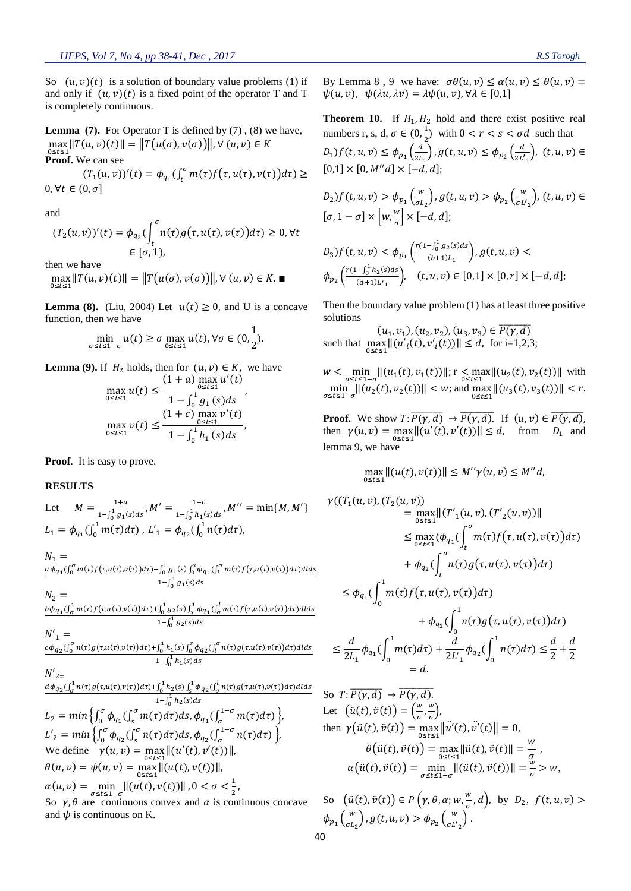So  $(u, v)(t)$  is a solution of boundary value problems (1) if and only if  $(u, v)(t)$  is a fixed point of the operator T and T is completely continuous.

**Lemma** (7). For Operator T is defined by (7), (8) we have,  $\max ||T(u, v)(t)|| = ||T(u(\sigma), v(\sigma))||, \forall (u, v) \in K$ 0≤≤1 **Proof.** We can see

 $(T_1(u,v))'(t) = \phi_{q_1}(\int_t^{\sigma} m(\tau) f(\tau, u(\tau), v(\tau)) d\tau) \ge$ t  $0, \forall t \in (0, \sigma]$ 

and

$$
(T_2(u,v))'(t) = \phi_{q_2}(\int_t^{\sigma} n(\tau)g(\tau, u(\tau), v(\tau))d\tau) \ge 0, \forall t
$$
  

$$
\in [\sigma, 1),
$$

then we have

 $\max_{0 \le t \le 1} ||T(u, v)(t)|| = ||T(u(\sigma), v(\sigma))||, \forall (u, v) \in K. \blacksquare$ 

**Lemma (8).** [\(Liu, 2004\)](#page-3-4) Let  $u(t) \ge 0$ , and U is a concave function, then we have

$$
\min_{\sigma \le t \le 1-\sigma} u(t) \ge \sigma \max_{0 \le t \le 1} u(t), \forall \sigma \in (0, \frac{1}{2}).
$$

**Lemma (9).** If  $H_2$  holds, then for  $(u, v) \in K$ , we have

$$
\max_{0 \le t \le 1} u(t) \le \frac{(1+a) \max_{0 \le t \le 1} u'(t)}{1 - \int_0^1 g_1(s) ds},
$$

$$
\max_{0 \le t \le 1} v(t) \le \frac{(1+c) \max_{0 \le t \le 1} v'(t)}{1 - \int_0^1 h_1(s) ds},
$$

**Proof**. It is easy to prove.

## **RESULTS**

Let 
$$
M = \frac{1+a}{1-\int_0^1 g_1(s)ds}
$$
,  $M' = \frac{1+c}{1-\int_0^1 h_1(s)ds}$ ,  $M'' = \min\{M, M'\}$   
 $L_1 = \phi_{q_1}(\int_0^1 m(\tau)d\tau)$ ,  $L'_1 = \phi_{q_2}(\int_0^1 n(\tau)d\tau)$ ,

 $N_1 =$ 

$$
\frac{a\phi_{q_1}(\int_0^{\sigma} m(\tau) f(\tau, u(\tau), v(\tau)) d\tau) + \int_0^1 g_1(s) \int_0^s \phi_{q_1}(\int_0^{\sigma} m(\tau) f(\tau, u(\tau), v(\tau)) d\tau) d\tau} {1 - \int_0^1 g_1(s) ds}
$$
\n
$$
N_2 = \frac{b\phi_{q_1}(\int_0^1 m(\tau) f(\tau, u(\tau), v(\tau)) d\tau) + \int_0^1 g_2(s) \int_s^1 \phi_{q_1}(\int_0^l m(\tau) f(\tau, u(\tau), v(\tau)) d\tau) d\tau} {1 - \int_0^1 g_2(s) ds}
$$
\n
$$
N'_1 = \frac{c\phi_{q_2}(\int_0^{\sigma} n(\tau) g(\tau, u(\tau), v(\tau)) d\tau) + \int_0^1 h_1(s) \int_0^s \phi_{q_2}(\int_0^{\sigma} n(\tau) g(\tau, u(\tau), v(\tau)) d\tau) d\tau} {1 - \int_0^1 h_1(s) ds}
$$
\n
$$
N'_{2} = \frac{d\phi_{q_2}(\int_0^1 n(\tau) g(\tau, u(\tau), v(\tau)) d\tau) + \int_0^1 h_2(s) \int_s^1 \phi_{q_2}(\int_0^l n(\tau) g(\tau, u(\tau), v(\tau)) d\tau) d\tau} {1 - \int_0^1 h_2(s) ds}
$$
\n
$$
L_2 = \min \left\{ \int_0^{\sigma} \phi_{q_1}(\int_s^{\sigma} m(\tau) d\tau) ds, \phi_{q_1}(\int_0^{1 - \sigma} m(\tau) d\tau) \right\},
$$
\n
$$
L'_2 = \min \left\{ \int_0^{\sigma} \phi_{q_2}(\int_s^{\sigma} n(\tau) d\tau) ds, \phi_{q_2}(\int_0^{1 - \sigma} n(\tau) d\tau) \right\},
$$
\nWe define  $\gamma(u, v) = \max_{0 \le t \le 1} ||(u(t), v(t))||,$ \n
$$
\theta(u, v) = \psi(u, v) = \min_{0 \le t \le 1} ||(u(t), v(t))||, \theta < \sigma < \frac{1}{2},
$$
\nSo  $\phi(u, v) = \phi(u, v) = \$ 

So  $\gamma$ ,  $\theta$  are continuous convex and  $\alpha$  is continuous concave and  $\psi$  is continuous on K.

By Lemma 8, 9 we have:  $\sigma\theta(u, v) \leq \alpha(u, v) \leq \theta(u, v)$  =  $\psi(u, v), \psi(\lambda u, \lambda v) = \lambda \psi(u, v), \forall \lambda \in [0, 1]$ 

**Theorem 10.** If  $H_1$ ,  $H_2$  hold and there exist positive real numbers r, s, d,  $\sigma \in (0, \frac{1}{2})$  $\frac{1}{2}$ ) with  $0 < r < s < \sigma d$  such that  $(D_1)f(t, u, v) \leq \phi_{p_1}\left(\frac{d}{2L}\right)$  $\left(\frac{d}{2L_1}\right)$ ,  $g(t, u, v) \leq \phi_{p_2} \left(\frac{d}{2L}\right)$  $\frac{u}{2L'_1}$ ,  $(t, u, v) \in$  $[0,1] \times [0, M''d] \times [-d, d];$ 

$$
D_2)f(t, u, v) > \phi_{p_1}\left(\frac{w}{\sigma L_2}\right), g(t, u, v) > \phi_{p_2}\left(\frac{w}{\sigma L_2}\right), (t, u, v) \in [\sigma, 1 - \sigma] \times \left[w, \frac{w}{\sigma}\right] \times [-d, d];
$$

$$
D_3)f(t, u, v) < \phi_{p_1}\left(\frac{r(1 - \int_0^1 g_2(s)ds)}{(b+1) \int_1} \right), g(t, u, v) < \phi_{p_2}\left(\frac{r(1 - \int_0^1 h_2(s)ds)}{(d+1) \int_1} \right), \quad (t, u, v) \in [0, 1] \times [0, r] \times [-d, d];
$$

Then the boundary value problem (1) has at least three positive solutions

 $(u_1,v_1),(u_2,v_2),(u_3,v_3)\in\overline{P(\gamma,d)}$ such that  $\max_{0 \le t \le 1} ||(u'_i(t), v'_i(t))|| \le d$ , for i=1,2,3;

$$
w < \min_{\sigma \le t \le 1-\sigma} \|(u_1(t), v_1(t))\|; \, r < \max_{0 \le t \le 1} \|(u_2(t), v_2(t))\| \text{ with } \min_{\sigma \le t \le 1-\sigma} \|(u_2(t), v_2(t))\| < w; \text{ and } \max_{0 \le t \le 1} \|(u_3(t), v_3(t))\| < r.
$$

**Proof.** We show  $T: \overline{P(\gamma, d)} \to \overline{P(\gamma, d)}$ . If  $(u, v) \in \overline{P(\gamma, d)}$ , then  $\gamma(u, v) = \max_{0 \le t \le 1} ||(u'(t), v'(t))|| \le d$ , from  $D_1$  and lemma 9, we have

$$
\max_{0\leq t\leq 1} \|(u(t),v(t))\| \leq M''\gamma(u,v) \leq M''d,
$$

$$
\gamma((T_1(u, v), (T_2(u, v)))
$$
\n
$$
= \max_{0 \le t \le 1} ||(T'_1(u, v), (T'_2(u, v))||)
$$
\n
$$
\le \max_{0 \le t \le 1} (\phi_{q_1}(\int_t^{\sigma} m(\tau) f(\tau, u(\tau), v(\tau)) d\tau)
$$
\n
$$
+ \phi_{q_2}(\int_t^{\sigma} n(\tau) g(\tau, u(\tau), v(\tau)) d\tau)
$$
\n
$$
\le \phi_{q_1}(\int_0^1 m(\tau) f(\tau, u(\tau), v(\tau)) d\tau)
$$
\n
$$
+ \phi_{q_2}(\int_0^1 n(\tau) g(\tau, u(\tau), v(\tau)) d\tau)
$$
\n
$$
\le \frac{d}{2L_1} \phi_{q_1}(\int_0^1 m(\tau) d\tau) + \frac{d}{2L'_1} \phi_{q_2}(\int_0^1 n(\tau) d\tau) \le \frac{d}{2} + \frac{d}{2}
$$
\n
$$
= d.
$$

So 
$$
T: \overline{P(\gamma, d)} \to \overline{P(\gamma, d)}
$$
.  
\nLet  $(\ddot{u}(t), \ddot{v}(t)) = \left(\frac{w}{\sigma}, \frac{w}{\sigma}\right)$ ,  
\nthen  $\gamma(\ddot{u}(t), \ddot{v}(t)) = \max_{0 \le t \le 1} ||\ddot{u}'(t), \ddot{v}'(t)|| = 0$ ,  
\n $\theta(\ddot{u}(t), \ddot{v}(t)) = \max_{0 \le t \le 1} ||\ddot{u}(t), \ddot{v}(t)|| = \frac{w}{\sigma}$ ,  
\n $\alpha(\ddot{u}(t), \ddot{v}(t)) = \min_{\sigma \le t \le 1-\sigma} ||(\ddot{u}(t), \ddot{v}(t))|| = \frac{w}{\sigma} > w$ ,

So  $(\ddot{u}(t), \ddot{v}(t)) \in P(\gamma, \theta, \alpha; w, \frac{w}{\alpha})$  $\frac{w}{\sigma}$ , d), by  $D_2$ ,  $f(t, u, v)$  $\phi_{p_1}\left(\frac{w}{\sigma L}\right)$  $\left(\frac{w}{\sigma L_2}\right)$  ,  $g(t, u, v) > \phi_{p_2}\left(\frac{w}{\sigma L}\right)$  $\frac{w}{\sigma L_2'}$ .